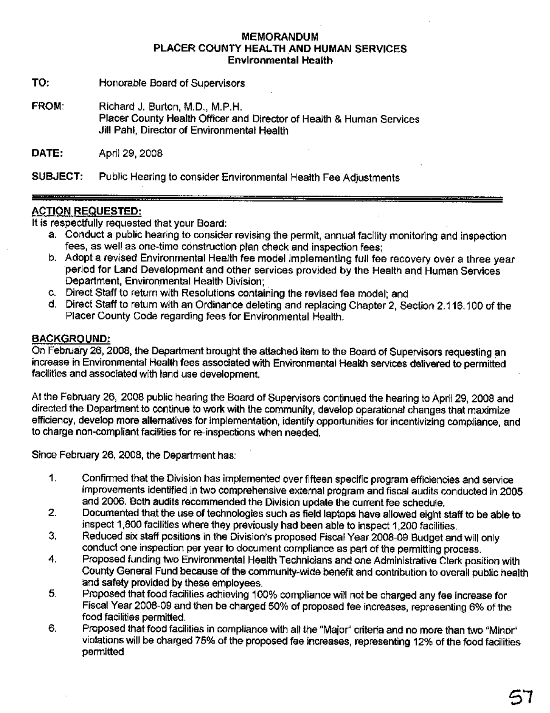### **MEMORANDUM** PLACER COUNTY HEALTH AND HUMAN SERVICES **Environmental Health**

TO: Honorable Board of Supervisors

FROM: Richard J. Burton, M.D., M.P.H. Placer County Health Officer and Director of Health & Human Services Jill Pahl, Director of Environmental Health

DATE: April 29, 2008

SUBJECT: Public Hearing to consider Environmental Health Fee Adjustments

# **ACTION REQUESTED:**

It is respectfully requested that your Board:

- a. Conduct a public hearing to consider revising the permit, annual facility monitoring and inspection fees, as well as one-time construction plan check and inspection fees:
- b. Adopt a revised Environmental Health fee model implementing full fee recovery over a three year period for Land Development and other services provided by the Health and Human Services Department, Environmental Health Division;
- c. Direct Staff to return with Resolutions containing the revised fee model; and
- d. Direct Staff to return with an Ordinance deleting and replacing Chapter 2, Section 2.116.100 of the Placer County Code regarding fees for Environmental Health.

## **BACKGROUND:**

On February 26, 2008, the Department brought the attached item to the Board of Supervisors requesting an increase in Environmental Health fees associated with Environmental Health services delivered to permitted facilities and associated with land use development,

At the February 26, 2008 public hearing the Board of Supervisors continued the hearing to April 29, 2008 and directed the Department to continue to work with the community, develop operational changes that maximize efficiency, develop more alternatives for implementation, identify opportunities for incentivizing compliance, and to charge non-compliant facilities for re-inspections when needed.

Since February 26, 2008, the Department has:

- 1. Confirmed that the Division has implemented over fifteen specific program efficiencies and service improvements identified in two comprehensive external program and fiscal audits conducted in 2005 and 2006. Both audits recommended the Division update the current fee schedule,
- Documented that the use of technologies such as field laptops have allowed eight staff to be able to  $2.$ inspect 1,800 facilities where they previously had been able to inspect 1,200 facilities.
- 3. Reduced six staff positions in the Division's proposed Fiscal Year 2008-09 Budget and will only conduct one inspection per year to document compliance as part of the permitting process.
- 4. Proposed funding two Environmental Health Technicians and one Administrative Clerk position with County General Fund because of the community-wide benefit and contribution to overall public health and safety provided by these employees.
- Proposed that food facilities achieving 100% compliance will not be charged any fee increase for 5. Fiscal Year 2008-09 and then be charged 50% of proposed fee increases, representing 6% of the food facilities permitted.
- Proposed that food facilities in compliance with all the "Major" criteria and no more than two "Minor" 6. violations will be charged 75% of the proposed fee increases, representing 12% of the food facilities permitted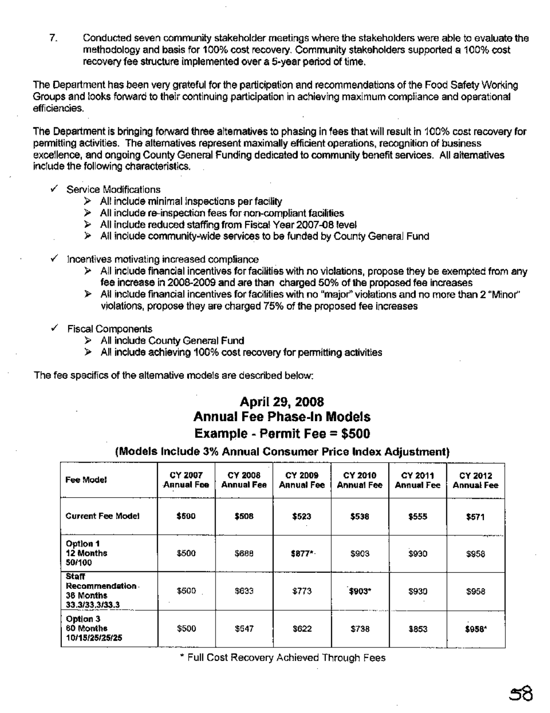$7<sub>1</sub>$ Conducted seven community stakeholder meetings where the stakeholders were able to evaluate the methodology and basis for 100% cost recovery. Community stakeholders supported a 100% cost recovery fee structure implemented over a 5-year period of time.

The Department has been very grateful for the participation and recommendations of the Food Safety Working Groups and looks forward to their continuing participation in achieving maximum compliance and operational efficiencies.

The Department is bringing forward three alternatives to phasing in fees that will result in 100% cost recovery for permitting activities. The alternatives represent maximally efficient operations, recognition of business excellence, and ongoing County General Funding dedicated to community benefit services. All alternatives include the following characteristics.

- $\checkmark$  Service Modifications
	- $\triangleright$  All include minimal inspections per facility
	- $\triangleright$  All include re-inspection fees for non-compliant facilities
	- > All include reduced staffing from Fiscal Year 2007-08 level
	- $\triangleright$  All include community-wide services to be funded by County General Fund
- $\checkmark$  Incentives motivating increased compliance
	- $\triangleright$  All include financial incentives for facilities with no violations, propose they be exempted from any fee increase in 2008-2009 and are than charged 50% of the proposed fee increases
	- $\triangleright$  All include financial incentives for facilities with no "major" violations and no more than 2 "Minor" violations, propose they are charged 75% of the proposed fee increases
- ✓ Fiscal Components
	- > All include County General Fund
	- $\triangleright$  All include achieving 100% cost recovery for permitting activities

The fee specifics of the alternative models are described below:

# April 29, 2008 **Annual Fee Phase-In Models** Example - Permit Fee = \$500

| Fee Mode!                                                     | CY 2007<br>Annual Fee | <b>CY 2008</b><br>Annual Fee | <b>CY 2009</b><br><b>Annual Fee</b> | CY 2010<br><b>Annual Fee</b> | CY 2011<br><b>Annual Fee</b> | CY 2012<br><b>Annual Fee</b> |
|---------------------------------------------------------------|-----------------------|------------------------------|-------------------------------------|------------------------------|------------------------------|------------------------------|
| <b>Gurrent Fee Model</b>                                      | \$500                 | \$508                        | \$523                               | \$538                        | \$555                        | \$571                        |
| Option 1<br>12 Months<br>50/100                               | \$500                 | \$688                        | \$877*                              | \$903                        | \$930                        | \$958                        |
| <b>Staff</b><br>Recommendation<br>36 Months<br>33.3/33,3/33.3 | \$500                 | \$633                        | \$773                               | \$903*                       | \$930                        | \$958                        |
| Option 3<br>60 Months<br>10/15/25/25/25                       | \$500                 | \$547                        | \$622                               | \$738                        | \$853                        | \$958*                       |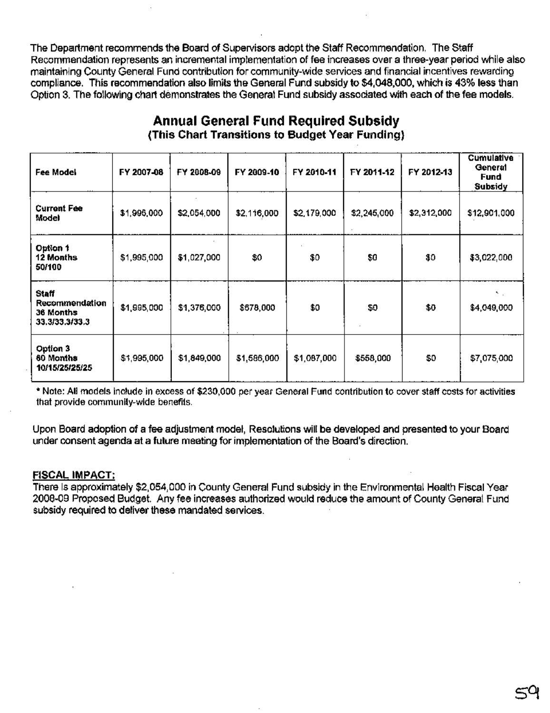The Department recommends the Board of Supervisors adopt the Staff Recommendation. The Staff Recommendation represents an incremental implementation of fee increases over a three-year period while also maintaining County General Fund contribution for community-wide services and financial incentives rewarding compliance. This recommendation also limits the General Fund subsidy to \$4,048,000, which is 43% less than Option 3. The following chart demonstrates the General Fund subsidy associated with each of the fee models.

| Fee Model                                                     | FY 2007-08  | FY 2008-09  | FY 2009-10  | FY 2010-11  | FY 2011-12  | FY 2012-13  | <b>Cumulative</b><br>General<br>Fund<br>Subsidy |
|---------------------------------------------------------------|-------------|-------------|-------------|-------------|-------------|-------------|-------------------------------------------------|
| <b>Current Fee</b><br>wodel                                   | \$1,995,000 | \$2,054,000 | \$2,116,000 | \$2,179,000 | \$2,245,000 | \$2,312,000 | \$12,901,000                                    |
| Option 1<br>12 Months<br>50/100                               | \$1,995,000 | \$1,027,000 | \$0         | \$0         | \$0         | \$0         | \$3,022,000                                     |
| <b>Staff</b><br>Recommendation<br>36 Months<br>33.3/33.3/33.3 | \$1,995,000 | \$1,376,000 | \$678,000   | \$0         | \$0         | \$0         | ×.,<br>\$4,049,000                              |
| Option 3<br><b>60 Months</b><br>10/15/25/25/25                | \$1,995,000 | \$1,849,000 | \$1,586,000 | \$1,087,000 | \$558,000   | \$0         | \$7,075,000                                     |

# **Annual General Fund Required Subsidy** (This Chart Transitions to Budget Year Funding)

\* Note: All models include in excess of \$230,000 per year General Fund contribution to cover staff costs for activities that provide community-wide benefits.

Upon Board adoption of a fee adjustment model, Resolutions will be developed and presented to your Board under consent agenda at a future meeting for implementation of the Board's direction.

### **FISCAL IMPACT:**

There is approximately \$2,054,000 in County General Fund subsidy in the Environmental Health Fiscal Year 2008-09 Proposed Budget. Any fee increases authorized would reduce the amount of County General Fund subsidy required to deliver these mandated services.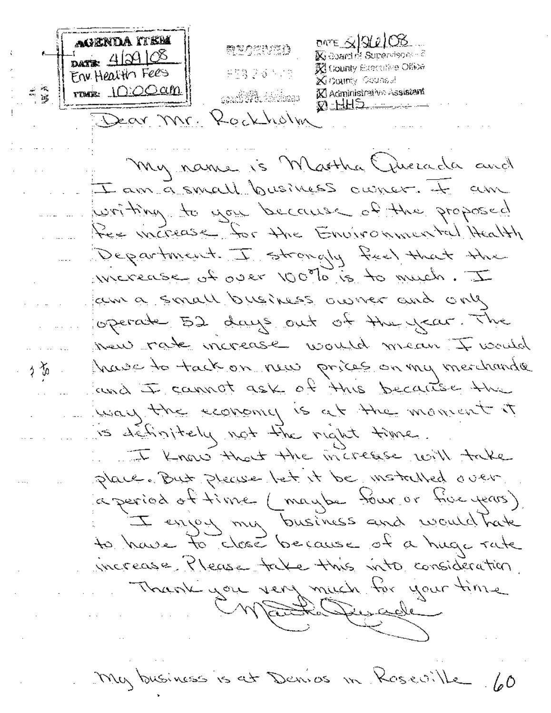AGENDA ITEM ONTE  $\leq$  3 2 2 0  $\%$ 願想の役割が行う  $\frac{1}{\text{max}}$  42108 **K** coard of Supervisors - 8 **R** County Executive Office Env Health Fees PES 28 5 13 **Xinguinty Counsel** mon. 10:00 cm K Administrative Assistant X) HHD Dear Mr. Kockholm My name is Martha Quecada and I am a small business owner. It am writing to you because of the proposed Ree increase for the Environmental Health Department. I strongly feel that the werease of over 100% is to much. I kim a small business owner and only operate 52 days out of the year. The were rate increase would mean I would have to tack on run prices on my merchander ∮る and I cannot ask of this because the usary the economy is at the moment it is definitely not the night time. I know that the increase will take place. But please let it be motalled over a period of time (maybe tour or tive years) I enjoy my business and would have to have to close because of a huge rate increase Please take this vita consideration. Thank you very much for your time Mathewall My business is at Danies in Roseville 60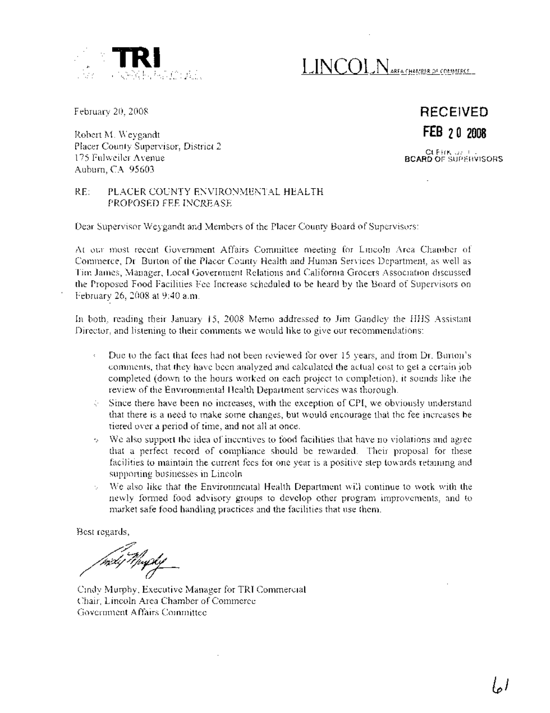

**TRINCOLN** AREA CHAMBER OF COMMERCE

February 20, 2008

Robert M. Weygandt Placer County Supervisor, District 2 175 Fulweiler Avenue Auburn, CA 95603

**RECEIVED FEB 20 2008** CLEf'IK:)~ i : .. **BeARD** OF SlJPEHVISORS

#### RE: PLACER COUNTY ENVIRONMENTAL HEALTH PROPOSED FEE INCREASE

Dear Supervisor Weygandt and Members of the Placer County Board of Supervisors:

At our most recent Government Affairs Committee meeting for Lincoln Area Chamber of Commerce, Dr. Burton of the Placer County Health and Human Services Department, as well as Tim James, Manager, Local Government Relations and California Grocers Association discussed the Proposed Food Facilities Fee Increase scheduled to be heard by the Board of Supervisors on February 26, 2008 at 9:40 a.m.

In both, reading their January 15, 2008 Memo addressed to Jim Gandley the HHS Assistant Director, and listening to their comments we would like to give our recommendations:

- Due to the fact that fees had not been reviewed for over 15 years, and from Dr. Burton's comments, that they have been analyzed and calculated the actual cost to get a certain job completed (down to the hours worked on each project to completion), it sounds like the review of the Environmental Health Department services was thorough.
- $\Diamond$  Since there have been no increases, with the exception of CPI, we obviously understand that there is a need to make some changes, but would encourage that the fee increases be tiered over a period of time, and not all at once.
- We also support the idea of incentives to food facilities that have no violations and agree that a perfect record of compliance should be rewarded. Their proposal for these facilities to maintain the current fees for one year is a positive step towards retaining and supporting businesses in Lincoln.
- We also like that the Environmental Health Department will continue to work with the V. newly formed food advisory groups to develop other program improvements, and to market safe food handling practices and the facilities that use them.

.Best regards<br>مسترس ;<br><sub>hi</sub>dy Mupl<u>y</u>

Cindy Murphy, Executive Manager for TRI Commercial Chair, Lincoln Area Chamber of Commerce Government Affairs Committee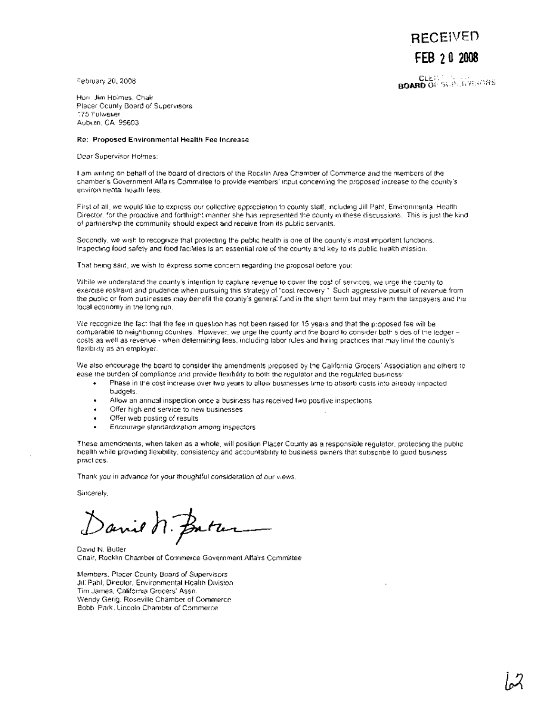**RECEIVED FEB 20 2008**

February 20, 2008

**BOARD** OF SUPERVENTAS

Hon. Jim Holmes, Chair Placer County Board of Supervisors 175 Fulweiler Auburn, CA 95603

#### **Re: Proposed Environmental Health Fee Increase**

Dear Supervisor Holmes:

I am writing on behalf of the board of directors of the Rocklin Area Chamber of Commerce and the members of the chamber's Government Affairs Committee to provide members' input concerning the proposed increase to the county's environmental health fees.

First of all, we would like to express our collective appreciation to county staff, including Jill Pahl, Environmental Health Director, for the proactive and forthright manner she has represented the county in these discussions. This is just the kind of partnership the community should expect and receive from its public servants.

Secondly, we wish to recognize that protecting the public health is one of the county's most important functions. Inspecting food safety and food facilities is an essential role of the county and key to its public health mission.

That being said, we wish to express some concern regarding the proposal before you:

While we understand the county's intention to capture revenue to cover the cost of services, we urge the county to exercise restraint and prudence when pursuing this strategy of "cost recovery." Such aggressive pursuit of revenue from the public or from businesses may benefit the county's general fund in the short term but may harm the taxpayers and the local economy in the long run.

We recognize the fact that the fee in question has not been raised for 15 years and that the proposed fee will be comparable to neighboring counties. However, we urge the county and the board to consider both sides of the ledgercosts as well as revenue - when determining fees, including labor rules and hiring practices that may limit the county's flexibility as an employer.

We also encourage the board to consider the amendments proposed by the California Grocers' Association and others to ease the burden of compliance and provide flexibility to both the regulator and the regulated business:

- Phase in the cost increase over two years to allow businesses time to absorb costs into already impacted  $\ddot{\phantom{1}}$ bUdgets.
- Allow an annual inspection once a business has received two positive inspections  $\bullet$
- Offer high end service to new businesses  $\bullet$
- Offer web posting of results  $\bullet$
- Encourage standardization among inspectors

These amendments, when taken as a whole, will position Placer County as a responsible regulator, protecting the public health while providing flexibility, consistency and accountability to business owners that subscribe to good business practices.

Thank you in advance for your thoughtful consideration of our views.

Sincerely,

Danie n. Batter

David N. Butler Chair, Rocklin Chamber of Commerce Government Affairs Committee

Members, Placer County Board of Supervisors Jill Pahl, Director, Environmental Health Division Tim James, California Grocers' Assn. Wendy Gerig, Roseville Chamber of Commerce Bobbi Park, Lincoln Chamber of Commerce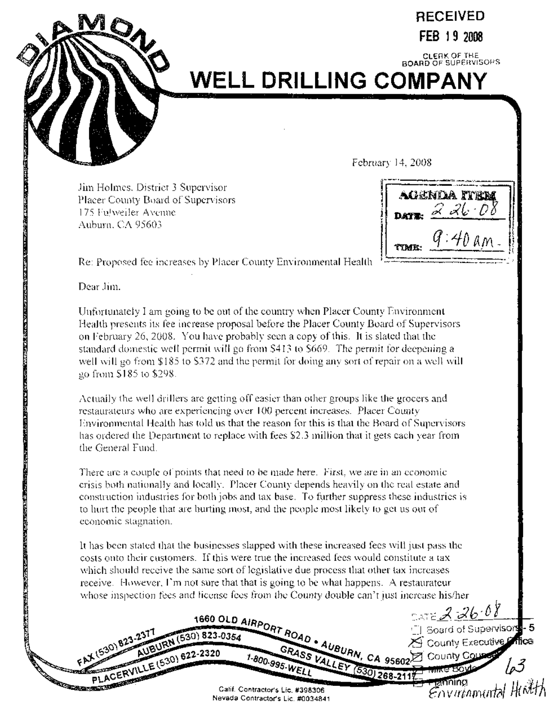

# **RECEIVED FEB 19 <sup>2008</sup>**

# CLERK OF THE BOARD OF SUPERVISORS **WELL DRILLING COMPANY**

February 14,2008

Jim Holmes, District 3 Supervisor Placer County Board of Supervisors 175 Fu1weiler Avemle Auburn, CA 95603

acenda item DATE:  $226.08$ 

Re: Proposed fee increases by Placer County Environmental Health

Dear Jim,

<u>הקרוב המקורה של היה המקורה המקורה המקורה המקורה המקורה המקורה המקורה המקורה המקורה המקורה המקורה המקורה ה</u>

Unfortunately I am going to be out of the country when Placer County Environment Health presents its fee increase proposal before the Placer County Board of Supervisors on February 26, 2008. You have probably seen a copy ofthis. It is slated that the standard domestic well permit will go from \$413 to \$669. The permit for deepening a well will go from  $$185$  to  $$372$  and the permit for doing any sort of repair on a well will go from \$185 to \$298.

Actually the well drillers are getting off easier than other groups like the grocers and restaurateurs who are experiencing over 100 percent increases. Placer COlmty Environmental Health has told us that the reason for this is that the Board of Supervisors has ordered the Department to replace with fees \$2.3 million that it gets each year from the General Fund.

There are a couple of points that need to be made here. First, we are in an economic crisis both nationally and locally. Placer County depends heavily on the real estate and construction industries for both jobs and tax base. To further suppress these industries is to hurt the people that are hurting most, and the people most likely to get us out of economic stagnation.

It has been stated that the businesses slapped with these increased fees will just pass the costs onto their customers. If this were true the increased fees would constitute a tax which should receive the same sort of legislative due process that other tax increases receive. However, I'm not sure that that is going to be what happens. A restaurateur whose inspection fees and license fees from the County double can't just increase his/her

**1660 OLD AIRPOLE TI Board of Supervisor 0.823-2., IRN (550) 020-0054 County Executive**  $\times$  N<sup>(530</sup>) **AUBUS00** 622-2320 1-800 GRASS **VAL CA** 95602 COUNTY COUPS **995-WELEY / CARE SOLUTION AND RESIDENCE** ENT COUNTY COUNTY CA 95602 COUNTY COUNTY COUNTY COUNTY COUNTY COUNTY COUNTY COUNTY COUNTY COUNTY COUNTY COUNTY COUNTY COUNTY COUNTY COUNTY COUNTY COUNTY COUNTY COUNTY COUNTY COUNTY COUNTY COUNTY COUNTY COUNTY COUNTY COUNTY **pLACERVILLE**<br>
PLACERVILLE<br>
Calif. Contractor's Lie. #398306 *revada* Contractor's Lie. #398306 *FOVITIONALAL* Nevada Contractor's Lic. #0034841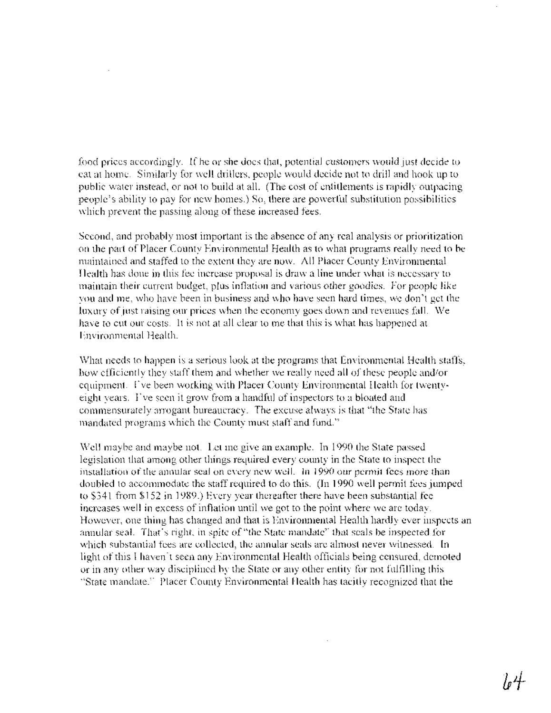food prices accordingly. If he or she does that, potential customers would just decide to eat at home. Similarly for well drillers, people would decide not to drill and hook up to public water instead, or not to build at all. (The cost of entitlements is rapidly outpacing people's ability to pay for new homes.) So, there are powerful substitution possibilities which prevent the passing along of these increased fees.

Second, and probably most important is the absence of any real analysis or prioritization on the part of Placer County Environmental Health as to what programs really need to be maintained and staffed to the extent they are now. All Placer County Environmental Health has done in this fee increase proposal is draw a line under what is necessary to maintain their current budget, plus inflation and various other goodies. For people like you and me, who have been in business and who have seen hard times, we don't get the luxury of just raising our prices when the economy goes down and revenues fall. We have to cut our costs. It is not at all clear to me that this is what has happened at Environmental Health.

What needs to happen is a serious look at the programs that Environmental Health staffs, how efficiently they staff them and whether we really need all of these people and/or equipment. 1've been working with Placer County Environmental Health for twentyeight years. I've seen it grow from a handful of inspectorsto a bloated and commensurately arrogant bureaucracy. The excuse always is that "the State has mandated programs which the County must staff and fund."

Well maybe and maybe not. Let me give an example. In 1990 the State passed legislation that among other things required every county in the State to inspect the installation of the annular seal on every new well. In 1990 our permit fees more than doubled to accommodate the staff required to do this. (In 1990 well permit fees jumped to \$341 from \$152 in 1989.) Every year thereafter there have been substantial fee increases well in excess of inflation until we got to the point where we are today. However, one thing has changed and that is Environmental Health hardly ever inspects an annular seal. That's right, in spite of "the State mandate" that seals be inspected for which substantial fees are collected, the annular seals are almost never witnessed. In light of this I haven't seen any Environmental Health officials being censured, demoted or in any other way disciplined by the State or any other entity for not fulfilling this "State mandate." Placer County Environmental Health has tacitly recognized that the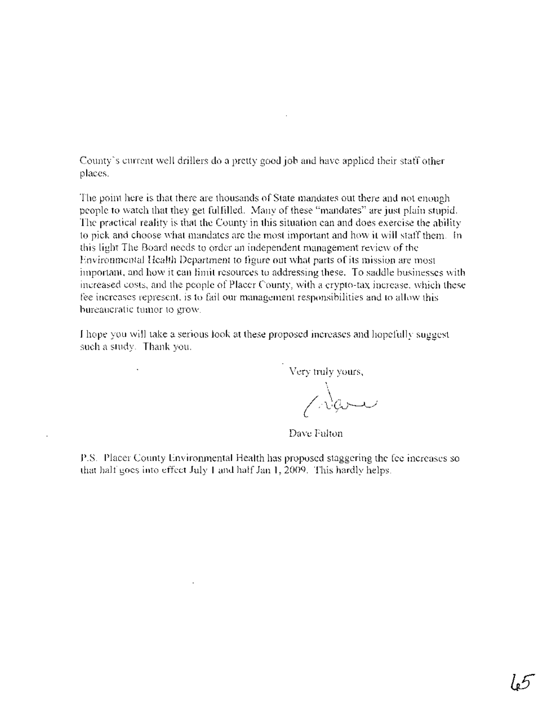County's current well drillers do a pretty good job and have applied their staff other places.

The point here is that there are thousands of State mandates out there and not enough people to watch that they get fulfilled. Many of these "mandates" are just plain stupid. The practical reality is that the County in this situation can and does exercise the ability to pick and choose what mandates are the most important and how it will staff them. **In** this light The Board needs to order an independent management review of the Environmental Health Department to figure out what parts of its mission are most important, and how it can limit resources to addressing these. To saddle businesses with increased costs, and the people of Placer County, with a crypto-tax increase, which these fee increases represent, is to fail our management responsibilities and to allow this bureaucratic tumor to grow.

I hope you will take a serious look at these proposed increases and hopefully suggest such a study. Thank you.

Very truly yours,

Dave Fulton

P.S. Placer County Enviromnental Health has proposed staggering the fee increases so that half goes into effect July 1 and halfJan 1,2009. This hardly helps.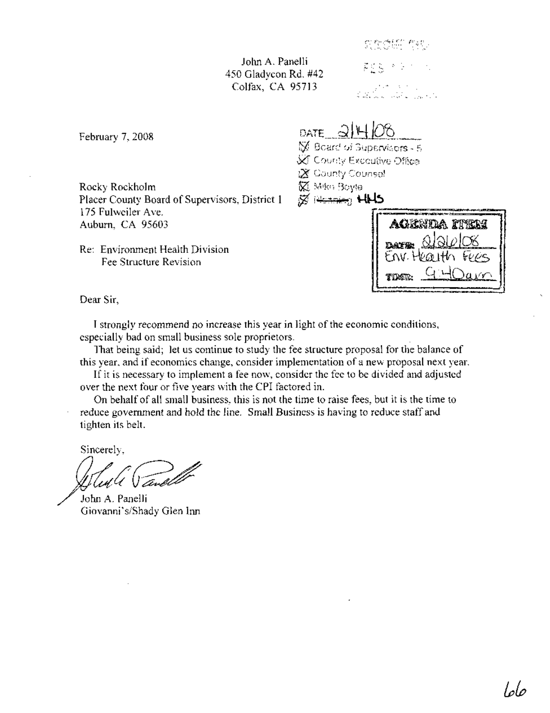John A. Panelli 450 Gladycon Rd. #42 Colfax, CA 95713

交互总线 生物 黄皮属 医马尔氏征

an de la partie de la partie de la partie de la partie de la partie de la partie de la partie de la<br>Altre de la partie de la partie de la partie de la partie de la partie de la partie de la partie de la partie

February 7, 2008

Rocky Rockholm Placer County Board of Supervisors, District 1 175 Fulweiler Ave. Auburn, CA 95603

Re: Environment Health Division Fee Structure Revision

DATE  $3H$ V Board of Supervisors - 5 **SC** County Executive Office **X** County Counsel

**M** Mike Boyle

 $\boxtimes$   $\cong$   $\cong$   $\oplus$   $\oplus$ 

agenda item  $\Omega$ **DATE:**  $EW$ . Health Fees 9 40am

Dear Sir,

I strongly recommend no increase this year in light of the economic conditions, especially bad on small business sole proprietors.

That being said; let us continue to study the fee structure proposal for the balance of this year, and if economics change, consider implementation of a new proposal next year.

If it is necessary to implement a fee now, consider the fee to be divided and adjusted over the next four or five years with the CPI factored in.

On behalf of all small business, this is not the time to raise fees, but it is the time to reduce government and hold the line. Small Business is having to reduce staff and tighten its belt.

Sincerely,

Solut le Vand

Giovanni's/Shady Glen Inn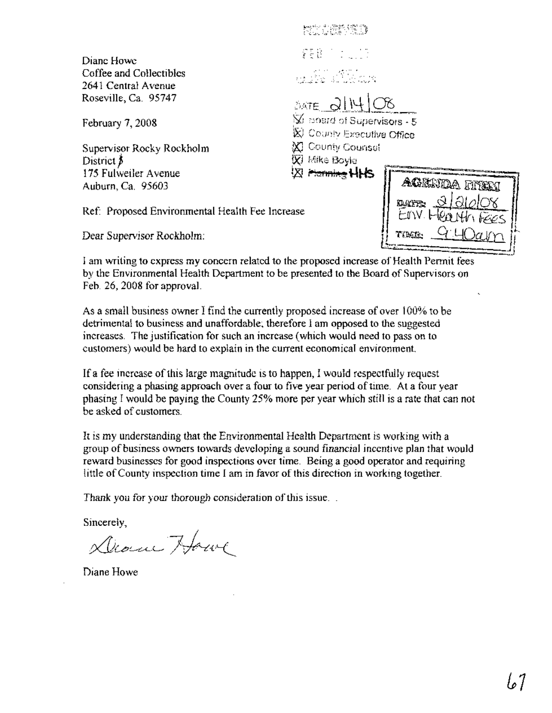Diane Howe Coffee and Collectibles 2641 Central Avenue Roseville, Ca. 95747

February 7, 2008

Supervisor Rocky Rockholm District  $\beta$ 175 Fulweiler Avenue Auburn, Ca. 95603

단한 사람의 관리 FEB 7 1 1 1 1 و بن المنابع.<br>المنابع المنابع المنابع المنابع  $\frac{1}{2}$  (3,14)  $\overline{\mathbb{X}}$  isoard of Supervisors  $-5$  $%$  County Executive Office County Counsel

00 Mike Boyle 闪 <del>Fannika</del> HHS

Ref: Proposed Environmental Health Fee Increase

Dear Supervisor Rockholm:

I am writing to express my concern related to the proposed increase of Health Permit fees by the Environmental Health Department to be presented to the Board of Supervisors on Feb. 26,2008 for approval.

As a small business owner I find the ourrently proposed inorease of over i 00% to be detrimental to business and unaffordable; therefore I am opposed to the suggested increases. The justification for such an increase (which would need to pass on to customers) would be hard to explain in the current economical environment.

If a fee increase of this large magnitude is to happen, I would respectfully request considering a phasing approach over a four to five year period oftime. At a four year phasing I would be paying the County 25% more per year which still is a rate that can not be asked of customers.

It is my understanding that the Environmental Health Department is working with a group of business owners towards developing a sound financial incentive plan that would reward businesses for good inspections over time. Being a good operator and requiring little of County inspection time I am in favor of this direction in working together.

Thank you for your thorough consideration of this issue...

Sincerely,

Dear Howe

Diane Howe

| ACENDA HTEM               |  |
|---------------------------|--|
| <u>a argoz</u><br>dayr.   |  |
| FIN Health FEES           |  |
| $9.40$ alm<br><b>TIME</b> |  |
|                           |  |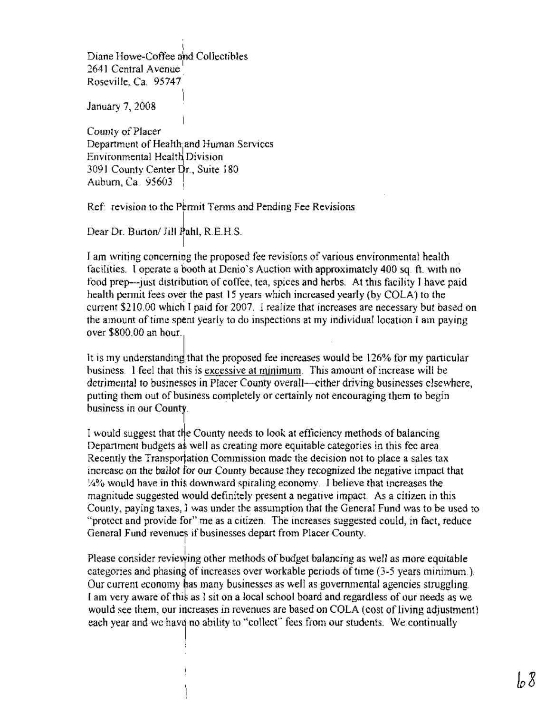Diane Howe-Coffee and Collectibles 2641 Central Avenue Roseville, Ca. 95747

January 7, 2008

County of Placer Department of Health and Human Services Environmental Health Division 3091 County Center Dr., Suite 180 Auburn, Ca. 95603 \.

Ref: revision to the Permit Terms and Pending Fee Revisions

Dear Dr. Burton/ Jill Pahl, R.E.H.S.

I am writing concerning the proposed fee revisions of various environmental health facilities. I operate a booth at Denio's Auction with approximately 400 sq. ft. with no food prep—just distribution of coffee, tea, spices and herbs. At this facility I have paid health permit fees over the past 15 years which increased yearly (by COLA) to the current \$210.00 which I paid for 2007. I realize that increases are necessary but based on the amount of time spent yearly to do inspections at my individual location I am paying over \$800.00 an hour.

It is my understanding that the proposed fee increases would be  $126\%$  for my particular business. I feel that this is excessive at minimum. This amount of increase will be detrimental to businesses in Placer County overall—cither driving businesses elsewhere, putting them out of business completely or certainly not encouraging them to begin business in our County.

I would suggest that the County needs to look at efficiency methods of balancing Department budgets as well as creating more equitable categories in this fee area. Recently the Transportation Commission made the decision not to place a sales tax increase on the ballot for our County because they recognized the negative impact that 14% would have in thi downward spiraling economy. I believe that increases the magnitude suggested would definitely present a negative impact. As a citizen in this County, paying taxes, I was under the assumption that the General Fund was to be used to "protect and provide for" me as a citizen. The increases suggested could, in fact, reduce General Fund revenues if businesses depart from Placer County.

Please consider reviewing other methods of budget balancing as well as more equitable categories and phasing of increases over workable periods of time  $(3-5$  years minimum.). Our current economy has many businesses as well as governmental agencies struggling. I am very aware of this as I sit on a local school board and regardless of our needs as we would see them, our increases in revenues are based on COLA (cost of living adjustment) each year and we have no ability to "collect" fees from our students. We continually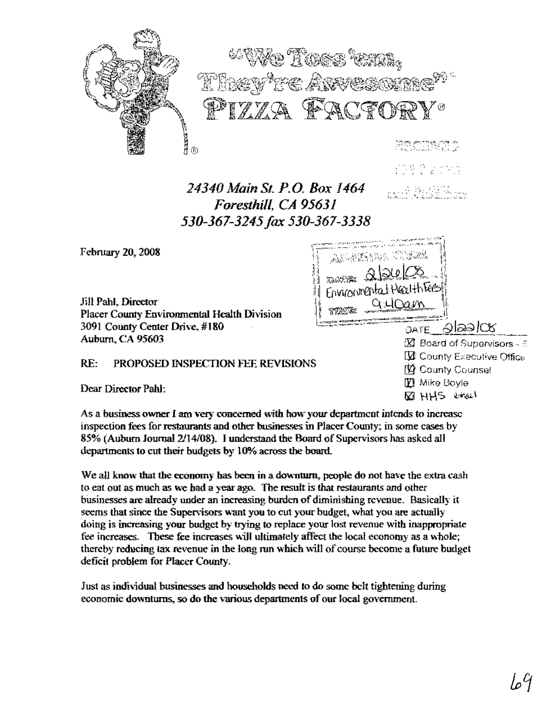

10802093

그는 배를 모르는

\\;;~.;.;':':::-=::;::~~;:;:::~,:';:;;2::;:~:=---::~~~flj

 $\parallel$  , a  $\sim$   $\sim$   $\sim$   $\sim$   $\sim$ 

,II :

Environmental+

 $\mathcal{D}_{\mathcal{A}}$ 

# *24340* l~~ainSt. *P.O. Box 1464 Foresthill, CA 95631 530-367-3245fax 530-367-3338*

February 20, 2008

Jill Pabl. Director Placer County Environmental Health Division 3091 County Center Drive, #180 Auburn, CA 95603

#### PROPOSED INSPECTION FEE REVISIONS RE:

Dear Director Pabl:

As a business owner I am very concerned with how your department intends to increase inspection fees for restaurants and other businesses in Placer County; in some cases by 85% (Auburn Journal 2/14/08). I understand the Board of Supervisors has asked all departments to cut their budgets by 10% across the board.

We all know that the economy has been in a downturn, people do not have the extra cash to eat out as much as we had a year ago. The result isthat restaurants and other businesses are already under an increasing burden of diminishing revenue. Basically it seems that since the Supervisors want you to cut your budget, what you are actually doing is increasing your budget by trying to replace your lost revenue with inappropriate fee increases. These fee increases will ultimately affect the local economy as a whole; thereby reducing tax revenue in the long run which will of course become a future budget deficit problem for Placer County.

Just as individual businesses and households need to do some belt tightening during economic downturns, so do the various departments of our local government.

 $\frac{1}{1}$  mm.  $\frac{Q\cdot l\cap a\cdot m}{l}$ <sup>I</sup> <sup>I</sup> .-.- . -=r-~I : .:~~=c-'~~' c)j\~rE \_..QI~d los-- rEi Board of Supervisors -- ::; **Executive Office** 12 County Counsel fEj Mike Boyle  $\boxtimes$  HHS erech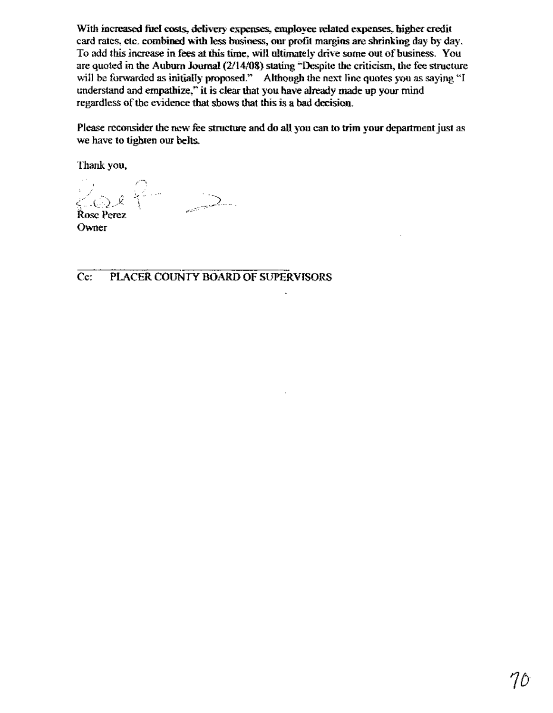With increased fuel costs, delivery expenses, employee related expenses, higher credit card rates, etc. combined wilh less business, our profit margins are shrinking day by day. To add this increase in fees at this time, will ultimately drive some out of business. You are quoted in the Auburn Journal (2/14/08) stating "Despite the criticism, the fee structure will be forwarded as initially proposed." Although the next line quotes you as saying "I understand and empathize," it is clear that you have already made up your mind regardless of the evidence that shows that this is a bad decision.

Please reconsider the new fee structure and do all you can to trim your department just as we have to tighten our belts.

Thank you,

 $\cos \theta = \sin \theta$ Rose Perez

Owner

Cc: PlACER COUNTY BOARD OF SUPERVISORS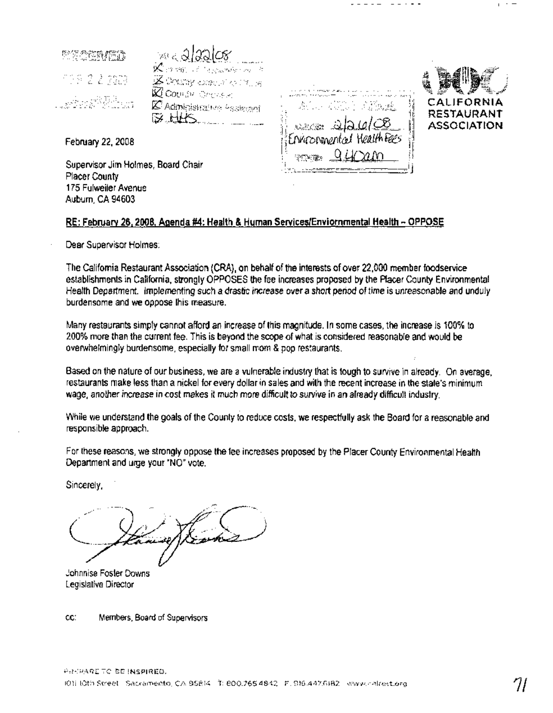科研全体的作战 19922300 a ang Pan

 $\mathbb{X}$  or easy of K Administrative Assistant

"~,~:"·~.:," •.c.,",,=.,.~.,, .·•.• ·:,.O",·••" •.,,"~.,., """-''''''''] ;i i;  $\frac{1}{10}$   $\frac{1}{100}$   $\frac{1}{100}$   $\frac{1}{100}$  $\frac{1}{1}$ Ervironmental Health Fees  $\frac{1}{1}$ **PTMER** !t:;~~~ ~~:-:-~-,"Iij;



 $_1$  +  $-$ 

February 22, 2008

Supervisor Jim Holmes, Board Chair Placer County 175 Fulweiler Avenue Auburn, CA 94603

## RE: February 26, 2008, Agenda #4: Health & Human Services/Enviornmental Health - OPPOSE

Dear Supervisor Holmes:

The California Restaurant Association (CRA), on behalf of the interests of over 22,000 member foodservice establishments in California, strongly OPPOSES the fee increases proposed by the Placer County Environmental Health Department. Implementing such adrastic increase over a short period of time is unreasonable and unduly burdensome and we oppose this measure.

Many restaurants simply cannot afford an increase of this magnitude. In some cases, the increase is 100% to 200% more than the current fee. This is beyond the scope of what is considered reasonable and would be overwhelmingly burdensome, especially for small mom & pop restaurants.

Based on the nature of our business, we are avulnerable industry that is tough to survive in already. On average, restaurants make less than a nickel for every dollar in sales and with the recent increase in the state's minimum wage, another increase in cost makes it much more difficult to survive in an already difficult industry.

While we understand the goals of the County to reduce costs, we respectfully ask the Board for a reasonable and responsible approach.

For these reasons, we strongly oppose the fee increases proposed by the Placer County Environmental HeaNh Department and urge your "NO" vote.

Sincerely,

Johnnise Foster Downs Legislative Director

cc: Members, Board of Supervisors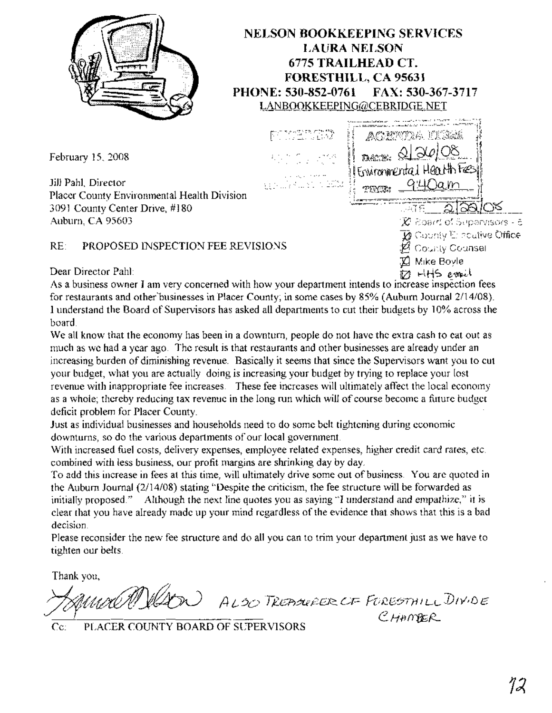

# **NELSON BOOKKEEPING SERVICES LAURA NELSON 6775 TRAILHEAD CT. FORESTHILL, CA 95631 PHONE: 530-852-0761 FAX: 530-367-3717** LANBOOKKEEPING@CEBRIDGE.NET

February 15, 2008

Jill Pahl, Director Placer County Environmental Health Division 3091 County Center Drive, #180 Auburn, CA 95603

# RE: PROPOSED INSPECTION FEE REVISIONS  $\mathscr{B}_{\text{Coul}}$  County Counsel

Dear Director Pahl:  $\overline{M}$   $HHS$  e- $\overline{M}$ 

 $\overline{\mathcal{X}}$  isoard of Supervisors - 5  $\overline{\textbf{M}}$  County  $\mathbb{E}$ : acutive Office  $\boxtimes$  Mike Boyle

940am

acempa ilibe

DACTE: 0/20/08 Environmental Health Fee

**MINGR:** 

As a business owner I am very concerned with how your department intends to increase inspection fees for restaurants and other'businesses in Placer County; in some cases by 85% (Auburn Journal 2/14/08). I understand the Board of Supervisors has asked all departments to cut their budgets by 10% across the board.

**PROTECTIVES** 

We all know that the economy has been in a downturn, people do not have the extra cash to eat out as much as we had a year ago. The result is that restaurants and other businesses are already under an increasing burden of diminishing revenue. Basically it seems that since the Supervisors want you to cut your budget, what you are actually doing is increasing your budget by trying to replace your lost revenue with inappropriate fee increases. These fee increases will ultimately affect the local economy as a whole; thereby reducing tax revenue in the long run which will of course become a future budget deficit problem for Placer County.

Just as individual businesses and households need to do some belt tightening during economic downturns, so do the various departments of our local government.

With increased fuel costs, delivery expenses, employee related expenses, higher credit card rates, etc. combined with less business, our profit margins are shrinking day by day.

To add this increase in fees at this time, will ultimately drive some out of business. You are quoted in the Auburn Journal (2/14/08) stating "Despite the criticism, the fee structure will be forwarded as initially proposed." Although the next line quotes you as saying "I understand and empathize," it is clear that you have already made up your mind regardless ofthe evidence that shows that this is a bad decision.

Please reconsider the new fee structure and do all you can to trim your department just as we have to tighten our belts.

Thank you,

AL-?D *T)2G17::5t.RJ20'2:.. L;F* FD'Q8'3TH <sup>J</sup>LLD/)/1 *D e* CHAMER ~4~~

Cc: PLACER COUNTY BOARD OF SUPERVISORS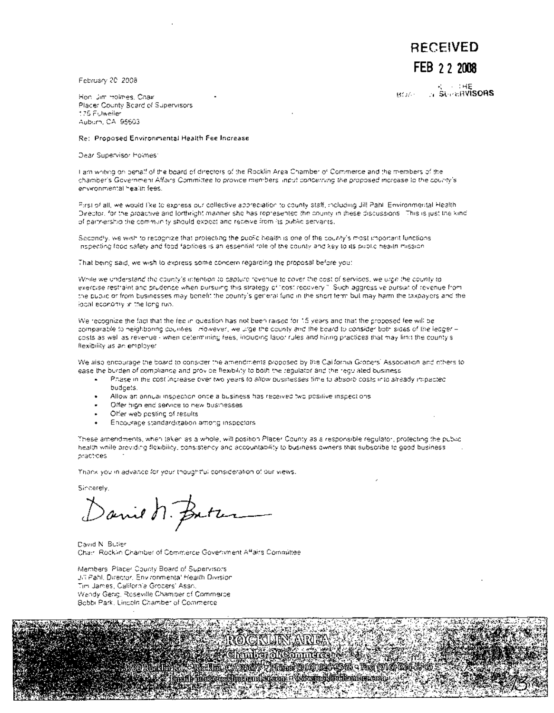February 20,2008

" : IHE BUN: ·A **SL,;:'t.fWISORS**

**RECEIVED**

**FEB 22 2008**

Hon. Jim Holmes, Chair Placer County Board of Supervisors 175 Fulweiler Auburn, CA 95603

Re: Proposed Environmental Health Fee Increase

Dear Supervisor Holmes:

I am writing on behalf of the board of directors of the Rocklin Area Chamber of Commerce and the members of the chamber's Government Affairs Committee to provide members' input concerning the proposed increase to the county's environmental health fees.

First of all, we would like to express our collective appreciation to county staff, including Jill Pahl, Environmental Health Director, for the proactive and forthright manner she has represented the county in these discussions. This is just the kind of partnership the community should expect and receive from its public servants.

Secondly, we wish to recognize that protecting the public health is one of the county's most important functions. Inspecting food safety and food facilities is an essential role of the county and key to its public health mission.

That being said, we wish to express some concern regarding the proposal before you:

While we understand the county's intention to capture revenue to cover the cost of services, we urge the county to exercise restraint and prudence when pursuing this strategy of "cost recovery." Such aggressive pursuit of revenue from the public or from businesses may benefit the county's general fund in the short term but may harm the taxpayers and the local economy in the long run.

We recognize the fact that the fee in question has not been raised for 15 years and that the proposed fee will be comparable to neighboring counties. However, we urge the county and the board to consider both sides of the ledgercosts as well as revenue - when determining fees, including labor rules and hiring practices that may limit the county's flexibility as an employer.

We also encourage the board to consider the amendments proposed by the California Grocers' Association and others to ease the burden of compliance and provide flexibility to both the regulator and the regulated business:

- Phase in the cost increase over two years to allow businesses time to absorb costs into already impacted budgets.
- Allow an annual inspection once a business has received two positive inspections
- Offer high end service to new businesses
- Offer web posting of results
- Encourage standard'lzation among 'Inspectors

These amendments, when taken as a whole, will position Placer County as a responsible regulator, protecting the public health while providing flexibility, consistency and accountability to business owners that subscribe to good business practices. .

7 F<del>isto</del> (916) (9

Thank you in advance for your thoughtful consideration of our views.

Sincerely,

Danie n. Batz

David N. Butler Chair, Rocklin Chamber of Commerce Government Affairs Committee

ma c

ill blink ortodsime runket koon !

Members, Placer County Board of Supervisors Jill Pahl, Director, Environmental Health Division Tim James, California Grocers' Assn. Wendy Gerig, Roseville Chamber of Commerce Bobbi Park, Lincoln Chamber of Commerce